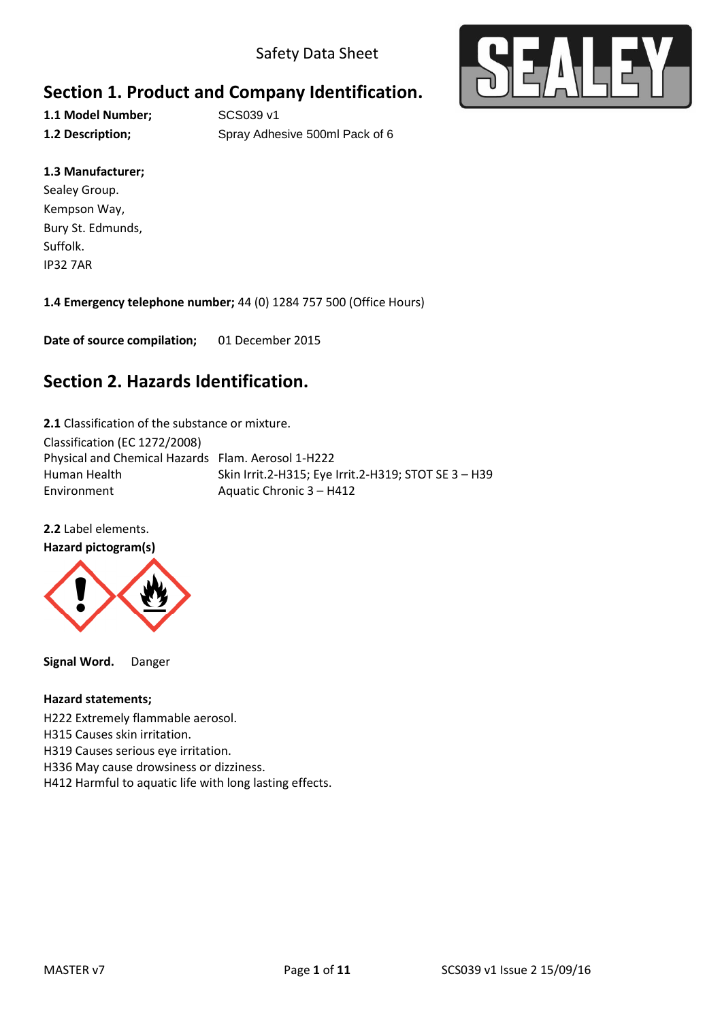

## **Section 1. Product and Company Identification.**

1.1 Model Number; SCS039 v1

**1.2 Description; Spray Adhesive 500ml Pack of 6** 

### **1.3 Manufacturer;**

Sealey Group. Kempson Way, Bury St. Edmunds, Suffolk. IP32 7AR

**1.4 Emergency telephone number;** 44 (0) 1284 757 500 (Office Hours)

**Date of source compilation;** 01 December 2015

### **Section 2. Hazards Identification.**

**2.1** Classification of the substance or mixture.

Classification (EC 1272/2008) Physical and Chemical Hazards Flam. Aerosol 1-H222 Human Health Skin Irrit.2-H315; Eye Irrit.2-H319; STOT SE 3 - H39 Environment Aquatic Chronic 3 – H412

**2.2** Label elements.

#### **Hazard pictogram(s)**



**Signal Word.** Danger

#### **Hazard statements;**

H222 Extremely flammable aerosol.

H315 Causes skin irritation.

H319 Causes serious eye irritation.

- H336 May cause drowsiness or dizziness.
- H412 Harmful to aquatic life with long lasting effects.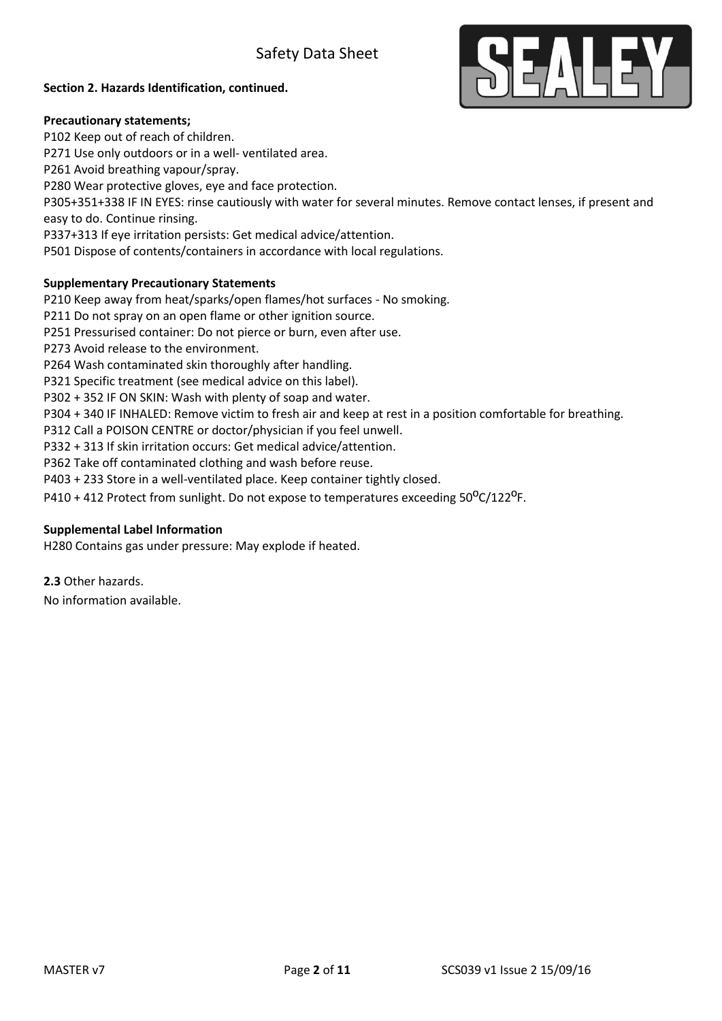

#### **Section 2. Hazards Identification, continued.**

#### **Precautionary statements;**

P102 Keep out of reach of children. P271 Use only outdoors or in a well- ventilated area. P261 Avoid breathing vapour/spray. P280 Wear protective gloves, eye and face protection. P305+351+338 IF IN EYES: rinse cautiously with water for several minutes. Remove contact lenses, if present and easy to do. Continue rinsing. P337+313 If eye irritation persists: Get medical advice/attention. P501 Dispose of contents/containers in accordance with local regulations. **Supplementary Precautionary Statements**  P210 Keep away from heat/sparks/open flames/hot surfaces - No smoking. P211 Do not spray on an open flame or other ignition source. P251 Pressurised container: Do not pierce or burn, even after use. P273 Avoid release to the environment.

P264 Wash contaminated skin thoroughly after handling.

P321 Specific treatment (see medical advice on this label).

P302 + 352 IF ON SKIN: Wash with plenty of soap and water.

P304 + 340 IF INHALED: Remove victim to fresh air and keep at rest in a position comfortable for breathing.

P312 Call a POISON CENTRE or doctor/physician if you feel unwell.

P332 + 313 If skin irritation occurs: Get medical advice/attention.

P362 Take off contaminated clothing and wash before reuse.

P403 + 233 Store in a well-ventilated place. Keep container tightly closed.

P410 + 412 Protect from sunlight. Do not expose to temperatures exceeding  $50^{\circ}C/122^{\circ}F$ .

#### **Supplemental Label Information**

H280 Contains gas under pressure: May explode if heated.

**2.3** Other hazards.

No information available.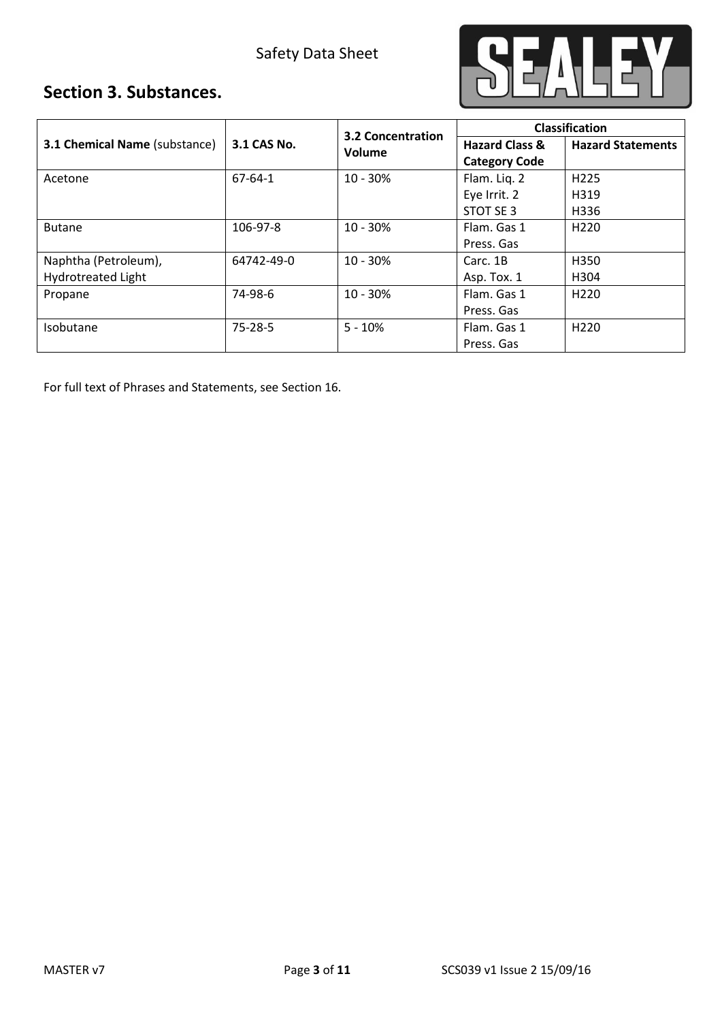

## **Section 3. Substances.**

| 3.1 Chemical Name (substance) | <b>3.2 Concentration</b> |            | <b>Classification</b>                             |                          |
|-------------------------------|--------------------------|------------|---------------------------------------------------|--------------------------|
|                               | 3.1 CAS No.              | Volume     | <b>Hazard Class &amp;</b><br><b>Category Code</b> | <b>Hazard Statements</b> |
| Acetone                       | 67-64-1                  | $10 - 30%$ | Flam. Lig. 2                                      | H <sub>225</sub>         |
|                               |                          |            | Eye Irrit. 2                                      | H319                     |
|                               |                          |            | STOT SE 3                                         | H336                     |
| <b>Butane</b>                 | 106-97-8                 | $10 - 30%$ | Flam. Gas 1                                       | H <sub>220</sub>         |
|                               |                          |            | Press. Gas                                        |                          |
| Naphtha (Petroleum),          | 64742-49-0               | $10 - 30%$ | Carc. 1B                                          | H350                     |
| <b>Hydrotreated Light</b>     |                          |            | Asp. Tox. 1                                       | H304                     |
| Propane                       | 74-98-6                  | $10 - 30%$ | Flam. Gas 1                                       | H <sub>220</sub>         |
|                               |                          |            | Press. Gas                                        |                          |
| <b>Isobutane</b>              | 75-28-5                  | $5 - 10%$  | Flam. Gas 1                                       | H <sub>220</sub>         |
|                               |                          |            | Press. Gas                                        |                          |

For full text of Phrases and Statements, see Section 16.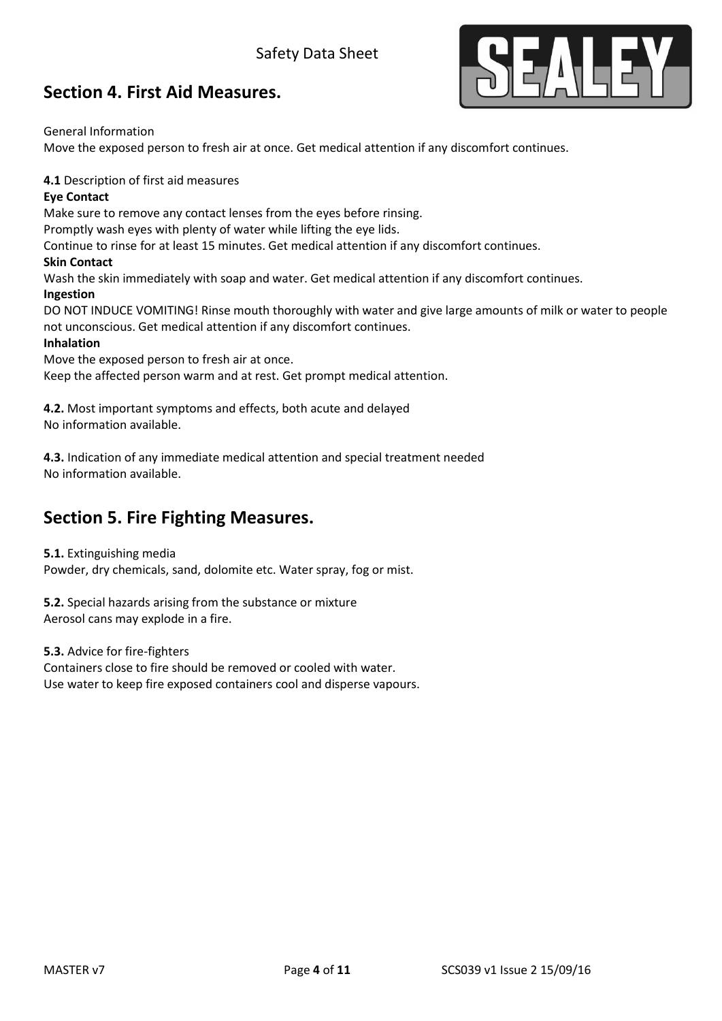

### **Section 4. First Aid Measures.**

General Information

Move the exposed person to fresh air at once. Get medical attention if any discomfort continues.

**4.1** Description of first aid measures

### **Eye Contact**

Make sure to remove any contact lenses from the eyes before rinsing.

Promptly wash eyes with plenty of water while lifting the eye lids.

Continue to rinse for at least 15 minutes. Get medical attention if any discomfort continues.

### **Skin Contact**

Wash the skin immediately with soap and water. Get medical attention if any discomfort continues.

### **Ingestion**

DO NOT INDUCE VOMITING! Rinse mouth thoroughly with water and give large amounts of milk or water to people not unconscious. Get medical attention if any discomfort continues.

### **Inhalation**

Move the exposed person to fresh air at once. Keep the affected person warm and at rest. Get prompt medical attention.

**4.2.** Most important symptoms and effects, both acute and delayed No information available.

**4.3.** Indication of any immediate medical attention and special treatment needed No information available.

### **Section 5. Fire Fighting Measures.**

#### **5.1.** Extinguishing media

Powder, dry chemicals, sand, dolomite etc. Water spray, fog or mist.

**5.2.** Special hazards arising from the substance or mixture Aerosol cans may explode in a fire.

**5.3.** Advice for fire-fighters

Containers close to fire should be removed or cooled with water. Use water to keep fire exposed containers cool and disperse vapours.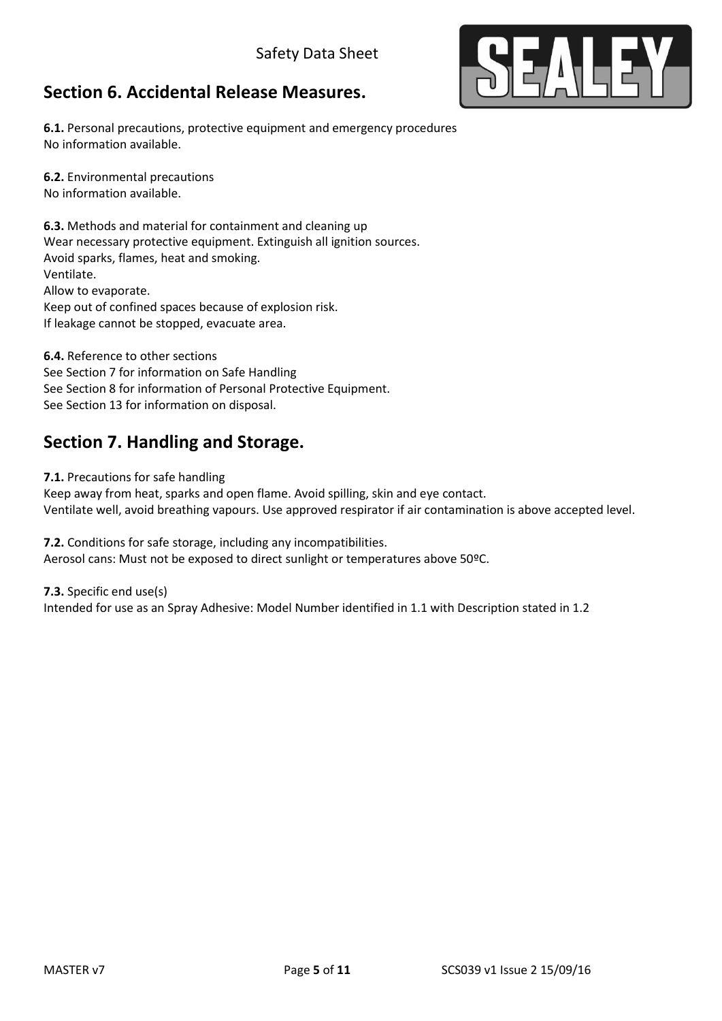## **Section 6. Accidental Release Measures.**



**6.1.** Personal precautions, protective equipment and emergency procedures No information available.

**6.2.** Environmental precautions

No information available.

**6.3.** Methods and material for containment and cleaning up Wear necessary protective equipment. Extinguish all ignition sources. Avoid sparks, flames, heat and smoking. Ventilate. Allow to evaporate. Keep out of confined spaces because of explosion risk. If leakage cannot be stopped, evacuate area.

**6.4.** Reference to other sections See Section 7 for information on Safe Handling See Section 8 for information of Personal Protective Equipment. See Section 13 for information on disposal.

## **Section 7. Handling and Storage.**

**7.1.** Precautions for safe handling

Keep away from heat, sparks and open flame. Avoid spilling, skin and eye contact. Ventilate well, avoid breathing vapours. Use approved respirator if air contamination is above accepted level.

**7.2.** Conditions for safe storage, including any incompatibilities. Aerosol cans: Must not be exposed to direct sunlight or temperatures above 50°C.

**7.3.** Specific end use(s) Intended for use as an Spray Adhesive: Model Number identified in 1.1 with Description stated in 1.2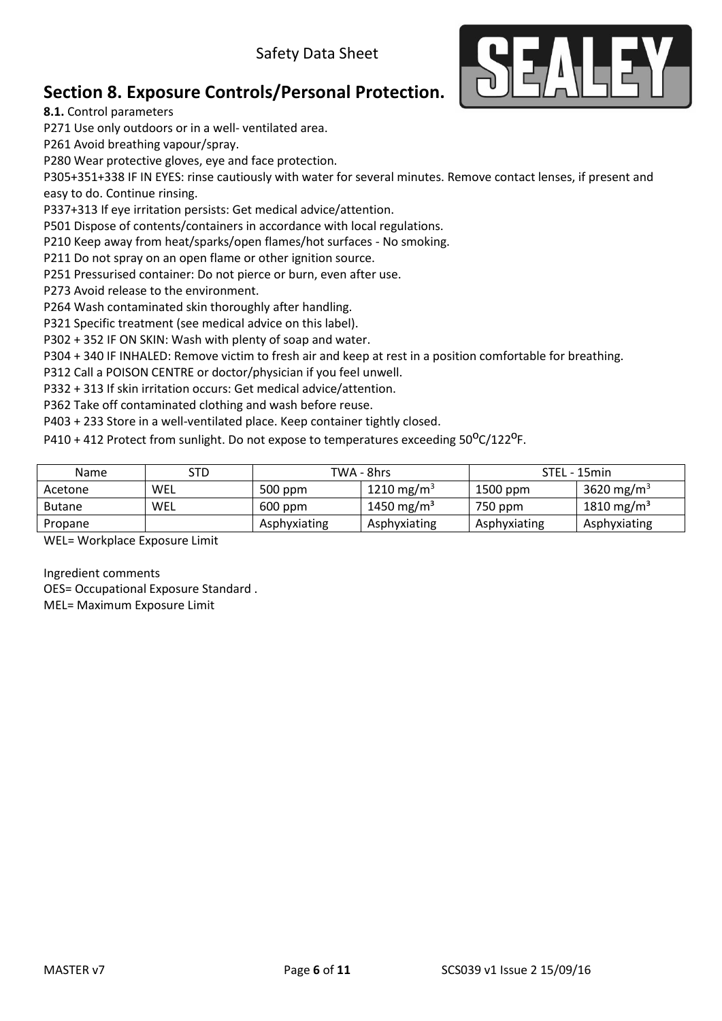

# **Section 8. Exposure Controls/Personal Protection.**

**8.1.** Control parameters

P271 Use only outdoors or in a well- ventilated area.

P261 Avoid breathing vapour/spray.

P280 Wear protective gloves, eye and face protection.

P305+351+338 IF IN EYES: rinse cautiously with water for several minutes. Remove contact lenses, if present and easy to do. Continue rinsing.

P337+313 If eye irritation persists: Get medical advice/attention.

P501 Dispose of contents/containers in accordance with local regulations.

P210 Keep away from heat/sparks/open flames/hot surfaces - No smoking.

P211 Do not spray on an open flame or other ignition source.

P251 Pressurised container: Do not pierce or burn, even after use.

P273 Avoid release to the environment.

P264 Wash contaminated skin thoroughly after handling.

P321 Specific treatment (see medical advice on this label).

P302 + 352 IF ON SKIN: Wash with plenty of soap and water.

P304 + 340 IF INHALED: Remove victim to fresh air and keep at rest in a position comfortable for breathing.

P312 Call a POISON CENTRE or doctor/physician if you feel unwell.

P332 + 313 If skin irritation occurs: Get medical advice/attention.

P362 Take off contaminated clothing and wash before reuse.

P403 + 233 Store in a well-ventilated place. Keep container tightly closed.

P410 + 412 Protect from sunlight. Do not expose to temperatures exceeding 50<sup>o</sup>C/122<sup>o</sup>F.

| <b>Name</b>   | STD | TWA - 8hrs   |                        | STEL - 15min |                        |
|---------------|-----|--------------|------------------------|--------------|------------------------|
| Acetone       | WEL | $500$ ppm    | 1210 mg/m <sup>3</sup> | 1500 ppm     | 3620 mg/m <sup>3</sup> |
| <b>Butane</b> | WEL | $600$ ppm    | 1450 mg/m <sup>3</sup> | 750 ppm      | 1810 mg/m <sup>3</sup> |
| Propane       |     | Asphyxiating | Asphyxiating           | Asphyxiating | Asphyxiating           |

WEL= Workplace Exposure Limit

Ingredient comments OES= Occupational Exposure Standard . MEL= Maximum Exposure Limit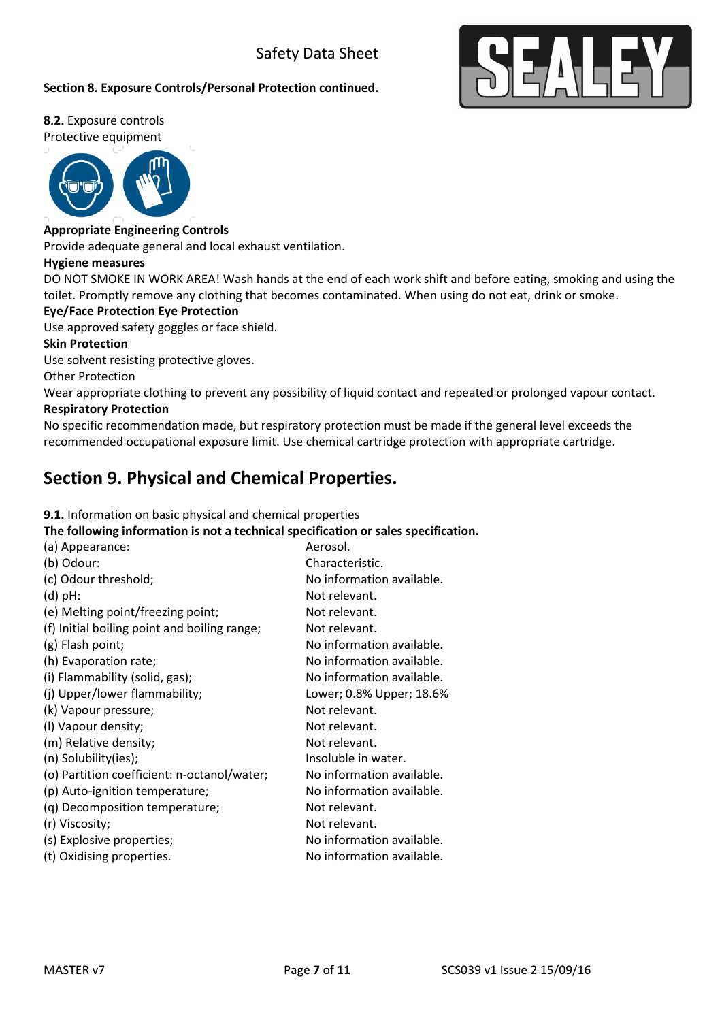### **Section 8. Exposure Controls/Personal Protection continued.**



**8.2.** Exposure controls Protective equipment



#### **Appropriate Engineering Controls**

Provide adequate general and local exhaust ventilation.

#### **Hygiene measures**

DO NOT SMOKE IN WORK AREA! Wash hands at the end of each work shift and before eating, smoking and using the toilet. Promptly remove any clothing that becomes contaminated. When using do not eat, drink or smoke.

#### **Eye/Face Protection Eye Protection**

Use approved safety goggles or face shield.

#### **Skin Protection**

Use solvent resisting protective gloves.

Other Protection

Wear appropriate clothing to prevent any possibility of liquid contact and repeated or prolonged vapour contact. **Respiratory Protection** 

No specific recommendation made, but respiratory protection must be made if the general level exceeds the recommended occupational exposure limit. Use chemical cartridge protection with appropriate cartridge.

### **Section 9. Physical and Chemical Properties.**

**9.1.** Information on basic physical and chemical properties

**The following information is not a technical specification or sales specification.**

| (a) Appearance:                              | Aerosol.                  |
|----------------------------------------------|---------------------------|
| (b) Odour:                                   | Characteristic.           |
| (c) Odour threshold;                         | No information available. |
| $(d)$ pH:                                    | Not relevant.             |
| (e) Melting point/freezing point;            | Not relevant.             |
| (f) Initial boiling point and boiling range; | Not relevant.             |
| (g) Flash point;                             | No information available. |
| (h) Evaporation rate;                        | No information available. |
| (i) Flammability (solid, gas);               | No information available. |
| (j) Upper/lower flammability;                | Lower; 0.8% Upper; 18.6%  |
| (k) Vapour pressure;                         | Not relevant.             |
| (I) Vapour density;                          | Not relevant.             |
| (m) Relative density;                        | Not relevant.             |
| (n) Solubility(ies);                         | Insoluble in water.       |
| (o) Partition coefficient: n-octanol/water;  | No information available. |
| (p) Auto-ignition temperature;               | No information available. |
| (q) Decomposition temperature;               | Not relevant.             |
| (r) Viscosity;                               | Not relevant.             |
| (s) Explosive properties;                    | No information available. |
| (t) Oxidising properties.                    | No information available. |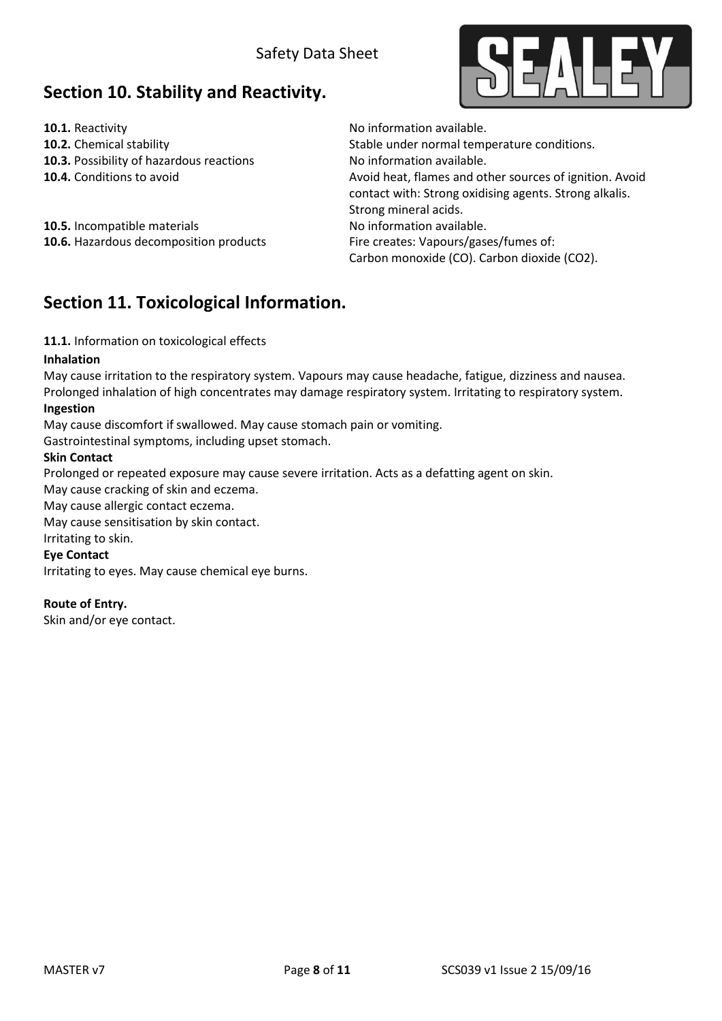## **Section 10. Stability and Reactivity.**

**10.1.** Reactivity **10.1.** Reactivity **10.1.** Reactivity **10.1.** Reactivity **10.1.** Reactivity **10.1.** Reactivity **10.2.** Chemical stability **10.2.** Chemical stability stable under normal temperature conditions. **10.3.** Possibility of hazardous reactions No information available. **10.4.** Conditions to avoid **Avoid heat, flames and other sources of ignition.** Avoid contact with: Strong oxidising agents. Strong alkalis. Strong mineral acids. **10.6.** Hazardous decomposition products Fire creates: Vapours/gases/fumes of: Carbon monoxide (CO). Carbon dioxide (CO2).

**10.5.** Incompatible materials **10.5.** No information available.

### **Section 11. Toxicological Information.**

**11.1.** Information on toxicological effects

#### **Inhalation**

May cause irritation to the respiratory system. Vapours may cause headache, fatigue, dizziness and nausea. Prolonged inhalation of high concentrates may damage respiratory system. Irritating to respiratory system. **Ingestion** 

May cause discomfort if swallowed. May cause stomach pain or vomiting.

Gastrointestinal symptoms, including upset stomach.

### **Skin Contact**

Prolonged or repeated exposure may cause severe irritation. Acts as a defatting agent on skin.

May cause cracking of skin and eczema.

May cause allergic contact eczema.

May cause sensitisation by skin contact.

Irritating to skin.

**Eye Contact** 

Irritating to eyes. May cause chemical eye burns.

**Route of Entry.** 

Skin and/or eye contact.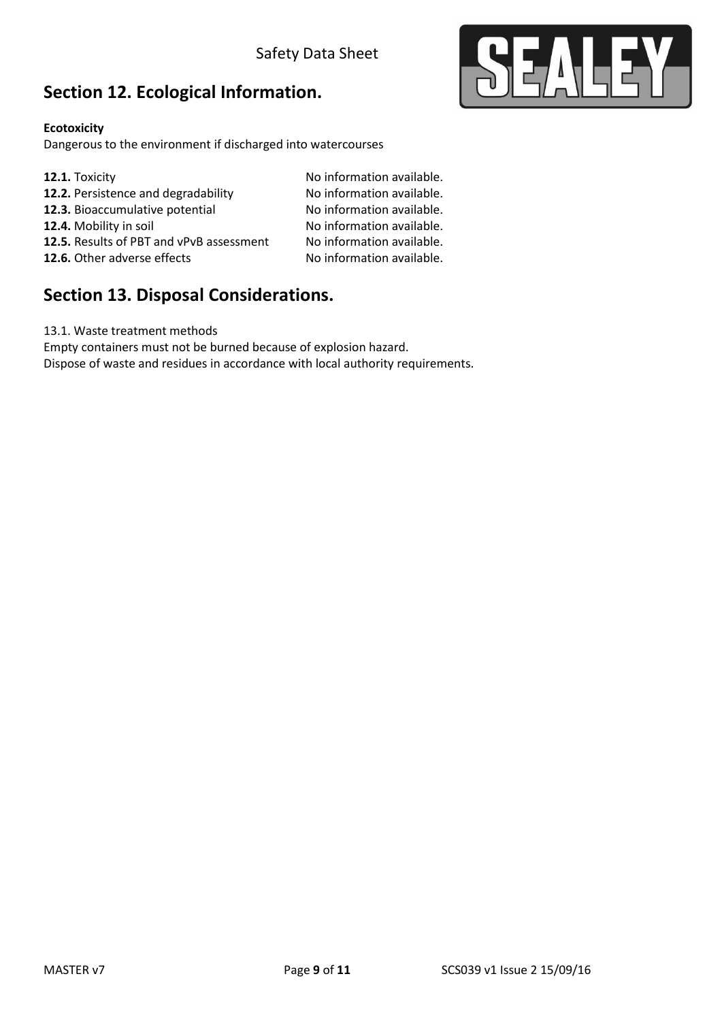# **Section 12. Ecological Information.**

### **Ecotoxicity**

Dangerous to the environment if discharged into watercourses

**12.1.** Toxicity **12.1.** Toxicity **12.2.** Persistence and degradability **12.2.** No information available. **12.2.** Persistence and degradability **No information available.**<br> **12.3.** Bioaccumulative potential **No information available. 12.3.** Bioaccumulative potential **12.4.** Mobility in soil No information available. **12.5.** Results of PBT and vPvB assessment No information available. **12.6.** Other adverse effects No information available.

## **Section 13. Disposal Considerations.**

13.1. Waste treatment methods

Empty containers must not be burned because of explosion hazard.

Dispose of waste and residues in accordance with local authority requirements.

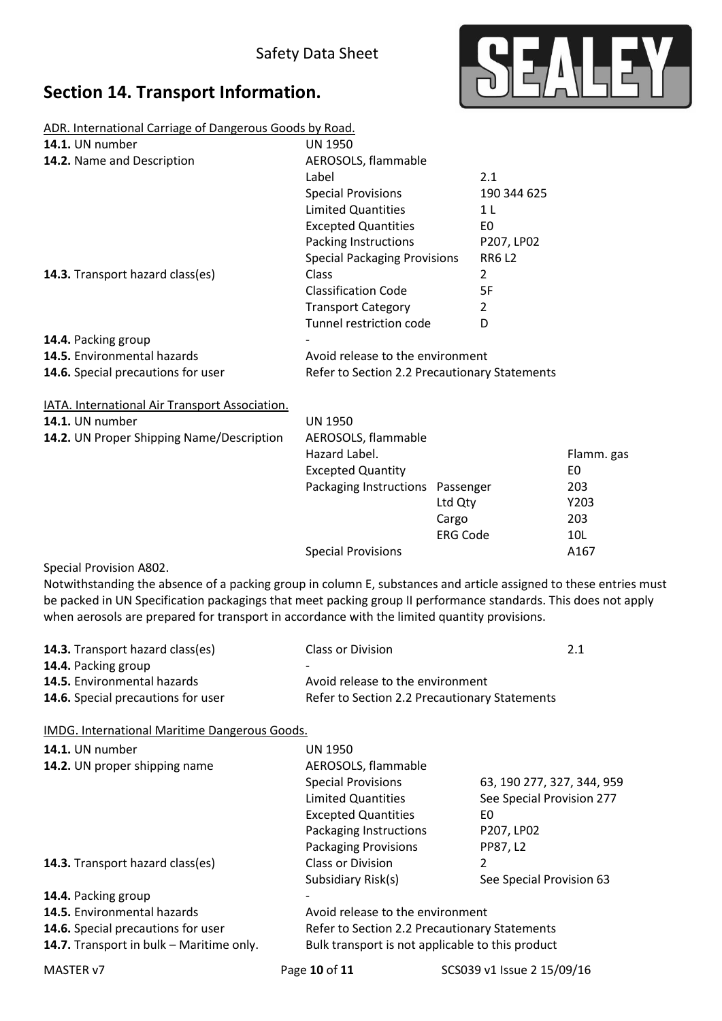# **Section 14. Transport Information.**



ADR. International Carriage of Dangerous Goods by Road.

| <b>14.1.</b> UN number                           | <b>UN 1950</b>                                |                |
|--------------------------------------------------|-----------------------------------------------|----------------|
| 14.2. Name and Description                       | AEROSOLS, flammable                           |                |
|                                                  | Label                                         | 2.1            |
|                                                  | <b>Special Provisions</b>                     | 190 344 625    |
|                                                  | <b>Limited Quantities</b>                     | 1 L            |
|                                                  | <b>Excepted Quantities</b>                    | E0             |
|                                                  | Packing Instructions                          | P207, LP02     |
|                                                  | <b>Special Packaging Provisions</b>           | <b>RR6L2</b>   |
| 14.3. Transport hazard class(es)                 | Class                                         | $\overline{2}$ |
|                                                  | <b>Classification Code</b>                    | 5F             |
|                                                  | <b>Transport Category</b>                     | $\overline{2}$ |
|                                                  | Tunnel restriction code                       | D              |
| 14.4. Packing group                              |                                               |                |
| 14.5. Environmental hazards                      | Avoid release to the environment              |                |
| 14.6. Special precautions for user               | Refer to Section 2.2 Precautionary Statements |                |
| IATA. International Air Transport Association.   |                                               |                |
| <b>14.1.</b> UN number                           | <b>UN 1950</b>                                |                |
| <b>14.2.</b> UN Proper Shipping Name/Description | AEROSOLS, flammable<br>Hazard Label           |                |

| . UN Proper Shipping Name/Description | AEROSOLS, flammable              |                 |            |
|---------------------------------------|----------------------------------|-----------------|------------|
|                                       | Hazard Label.                    |                 | Flamm. gas |
|                                       | <b>Excepted Quantity</b>         |                 | E0         |
|                                       | Packaging Instructions Passenger |                 | 203        |
|                                       |                                  | Ltd Qty         | Y203       |
|                                       |                                  | Cargo           | 203        |
|                                       |                                  | <b>ERG Code</b> | 10L        |
|                                       | <b>Special Provisions</b>        |                 | A167       |
|                                       |                                  |                 |            |

Special Provision A802.

Notwithstanding the absence of a packing group in column E, substances and article assigned to these entries must be packed in UN Specification packagings that meet packing group II performance standards. This does not apply when aerosols are prepared for transport in accordance with the limited quantity provisions.

| <b>14.3.</b> Transport hazard class(es) | Class or Division                             | 2.1 |
|-----------------------------------------|-----------------------------------------------|-----|
| <b>14.4.</b> Packing group              | $\overline{\phantom{0}}$                      |     |
| <b>14.5.</b> Environmental hazards      | Avoid release to the environment              |     |
| 14.6. Special precautions for user      | Refer to Section 2.2 Precautionary Statements |     |

IMDG. International Maritime Dangerous Goods.

| 14.1. UN number<br>14.2. UN proper shipping name | UN 1950<br>AEROSOLS, flammable                          |                                 |
|--------------------------------------------------|---------------------------------------------------------|---------------------------------|
|                                                  | <b>Special Provisions</b>                               | 63, 190 277, 327, 344, 959      |
|                                                  | <b>Limited Quantities</b><br><b>Excepted Quantities</b> | See Special Provision 277<br>E0 |
|                                                  | Packaging Instructions                                  | P207, LP02                      |
|                                                  | <b>Packaging Provisions</b>                             | PP87, L2                        |
| 14.3. Transport hazard class(es)                 | <b>Class or Division</b>                                | 2                               |
|                                                  | Subsidiary Risk(s)                                      | See Special Provision 63        |
| 14.4. Packing group                              |                                                         |                                 |
| <b>14.5.</b> Environmental hazards               | Avoid release to the environment                        |                                 |
| 14.6. Special precautions for user               | Refer to Section 2.2 Precautionary Statements           |                                 |
| 14.7. Transport in bulk - Maritime only.         | Bulk transport is not applicable to this product        |                                 |